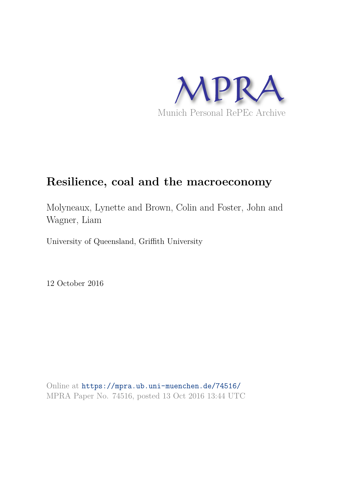

# **Resilience, coal and the macroeconomy**

Molyneaux, Lynette and Brown, Colin and Foster, John and Wagner, Liam

University of Queensland, Griffith University

12 October 2016

Online at https://mpra.ub.uni-muenchen.de/74516/ MPRA Paper No. 74516, posted 13 Oct 2016 13:44 UTC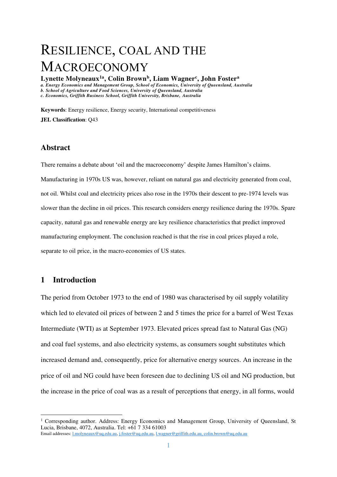# RESILIENCE, COAL AND THE MACROECONOMY

**Lynette Molyneaux1a, Colin Brown<sup>b</sup> , Liam Wagner<sup>c</sup> , John Foster<sup>a</sup>** *a. Energy Economics and Management Group, School of Economics, University of Queensland, Australia b. School of Agriculture and Food Sciences, University of Queensland, Australia c. Economics, Griffith Business School, Griffith University, Brisbane, Australia* 

**Keywords**: Energy resilience, Energy security, International competitiveness **JEL Classification**: Q43

# **Abstract**

There remains a debate about 'oil and the macroeconomy' despite James Hamilton's claims. Manufacturing in 1970s US was, however, reliant on natural gas and electricity generated from coal, not oil. Whilst coal and electricity prices also rose in the 1970s their descent to pre-1974 levels was slower than the decline in oil prices. This research considers energy resilience during the 1970s. Spare capacity, natural gas and renewable energy are key resilience characteristics that predict improved manufacturing employment. The conclusion reached is that the rise in coal prices played a role, separate to oil price, in the macro-economies of US states.

# **1 Introduction**

<u>.</u>

The period from October 1973 to the end of 1980 was characterised by oil supply volatility which led to elevated oil prices of between 2 and 5 times the price for a barrel of West Texas Intermediate (WTI) as at September 1973. Elevated prices spread fast to Natural Gas (NG) and coal fuel systems, and also electricity systems, as consumers sought substitutes which increased demand and, consequently, price for alternative energy sources. An increase in the price of oil and NG could have been foreseen due to declining US oil and NG production, but the increase in the price of coal was as a result of perceptions that energy, in all forms, would

<sup>&</sup>lt;sup>1</sup> Corresponding author. Address: Energy Economics and Management Group, University of Queensland, St Lucia, Brisbane, 4072, Australia. Tel: +61 7 334 61003 Email addresses: [l.molyneaux@uq.edu.au,](mailto:l.molyneaux@uq.edu.au) [j.foster@uq.edu.au,](mailto:j.foster@uq.edu.au) [l.wagner@griffith.edu.au,](mailto:l.wagner@griffith.edu.au) [colin.brown@uq.edu.au](file:///C:/Users/agcbrown.UQ/AppData/Local/Microsoft/Windows/Temporary%20Internet%20Files/Content.Outlook/97WEGGY6/colin.brown@uq.edu.au)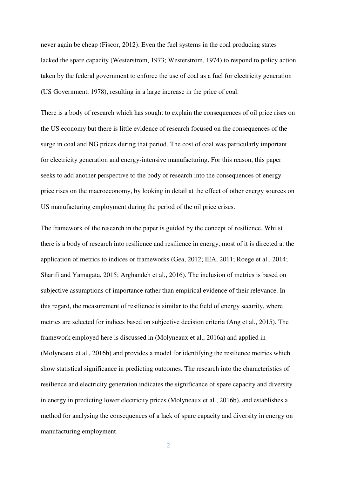never again be cheap [\(Fiscor, 2012\)](#page-26-0). Even the fuel systems in the coal producing states lacked the spare capacity [\(Westerstrom, 1973;](#page-28-0) [Westerstrom, 1974\)](#page-28-1) to respond to policy action taken by the federal government to enforce the use of coal as a fuel for electricity generation [\(US Government, 1978\)](#page-28-2), resulting in a large increase in the price of coal.

There is a body of research which has sought to explain the consequences of oil price rises on the US economy but there is little evidence of research focused on the consequences of the surge in coal and NG prices during that period. The cost of coal was particularly important for electricity generation and energy-intensive manufacturing. For this reason, this paper seeks to add another perspective to the body of research into the consequences of energy price rises on the macroeconomy, by looking in detail at the effect of other energy sources on US manufacturing employment during the period of the oil price crises.

The framework of the research in the paper is guided by the concept of resilience. Whilst there is a body of research into resilience and resilience in energy, most of it is directed at the application of metrics to indices or frameworks [\(Gea, 2012;](#page-26-1) [IEA, 2011;](#page-27-0) [Roege et al., 2014;](#page-28-3) [Sharifi and Yamagata, 2015;](#page-28-4) [Arghandeh et al., 2016\)](#page-24-0). The inclusion of metrics is based on subjective assumptions of importance rather than empirical evidence of their relevance. In this regard, the measurement of resilience is similar to the field of energy security, where metrics are selected for indices based on subjective decision criteria [\(Ang et al., 2015\)](#page-24-1). The framework employed here is discussed in [\(Molyneaux et al., 2016a\)](#page-27-1) and applied in [\(Molyneaux et al., 2016b\)](#page-27-2) and provides a model for identifying the resilience metrics which show statistical significance in predicting outcomes. The research into the characteristics of resilience and electricity generation indicates the significance of spare capacity and diversity in energy in predicting lower electricity prices [\(Molyneaux et al., 2016b\)](#page-27-2), and establishes a method for analysing the consequences of a lack of spare capacity and diversity in energy on manufacturing employment.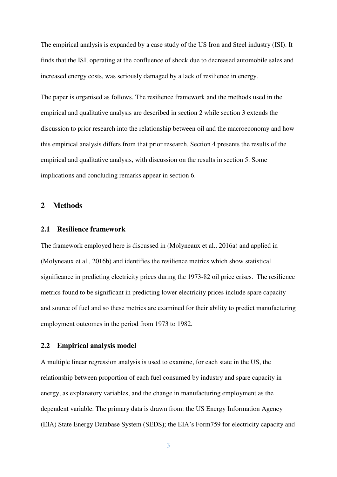The empirical analysis is expanded by a case study of the US Iron and Steel industry (ISI). It finds that the ISI, operating at the confluence of shock due to decreased automobile sales and increased energy costs, was seriously damaged by a lack of resilience in energy.

The paper is organised as follows. The resilience framework and the methods used in the empirical and qualitative analysis are described in section 2 while section 3 extends the discussion to prior research into the relationship between oil and the macroeconomy and how this empirical analysis differs from that prior research. Section 4 presents the results of the empirical and qualitative analysis, with discussion on the results in section 5. Some implications and concluding remarks appear in section 6.

#### **2 Methods**

#### **2.1 Resilience framework**

The framework employed here is discussed in [\(Molyneaux et al., 2016a\)](#page-27-1) and applied in [\(Molyneaux et al., 2016b\)](#page-27-2) and identifies the resilience metrics which show statistical significance in predicting electricity prices during the 1973-82 oil price crises. The resilience metrics found to be significant in predicting lower electricity prices include spare capacity and source of fuel and so these metrics are examined for their ability to predict manufacturing employment outcomes in the period from 1973 to 1982.

### **2.2 Empirical analysis model**

A multiple linear regression analysis is used to examine, for each state in the US, the relationship between proportion of each fuel consumed by industry and spare capacity in energy, as explanatory variables, and the change in manufacturing employment as the dependent variable. The primary data is drawn from: the US Energy Information Agency (EIA) State Energy Database System (SEDS); the EIA's Form759 for electricity capacity and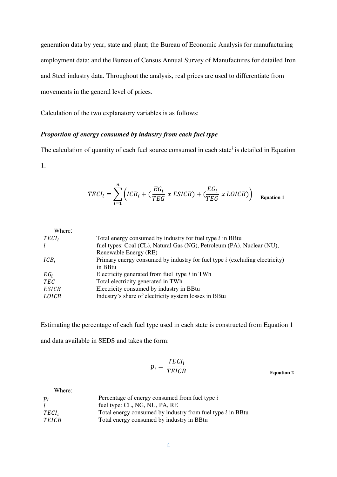generation data by year, state and plant; the Bureau of Economic Analysis for manufacturing employment data; and the Bureau of Census Annual Survey of Manufactures for detailed Iron and Steel industry data. Throughout the analysis, real prices are used to differentiate from movements in the general level of prices.

Calculation of the two explanatory variables is as follows:

# *Proportion of energy consumed by industry from each fuel type*

The calculation of quantity of each fuel source consumed in each state<sup>i</sup> is detailed in Equation

1.

$$
TECI_i = \sum_{i=1}^{n} \left( ICB_i + \left( \frac{EG_i}{TEG} \times ESICB \right) + \left( \frac{EG_i}{TEG} \times LOICB \right) \right)
$$
 Equation 1

| Where:            |                                                                               |
|-------------------|-------------------------------------------------------------------------------|
| TECI <sub>i</sub> | Total energy consumed by industry for fuel type <i>i</i> in BBtu              |
| $\iota$           | fuel types: Coal (CL), Natural Gas (NG), Petroleum (PA), Nuclear (NU),        |
|                   | Renewable Energy (RE)                                                         |
| $ICB_i$           | Primary energy consumed by industry for fuel type $i$ (excluding electricity) |
|                   | in BBtu                                                                       |
| $EG_i$            | Electricity generated from fuel type $i$ in TWh                               |
| TEG               | Total electricity generated in TWh                                            |
| <b>ESICB</b>      | Electricity consumed by industry in BBtu                                      |
| LOICB             | Industry's share of electricity system losses in BBtu                         |
|                   |                                                                               |

Estimating the percentage of each fuel type used in each state is constructed from Equation 1

and data available in SEDS and takes the form:

$$
p_i = \frac{TECI_i}{TEICB}
$$
 Equation 2

Where:

| $p_i$             | Percentage of energy consumed from fuel type i                    |
|-------------------|-------------------------------------------------------------------|
| $\dot{l}$         | fuel type: CL, NG, NU, PA, RE                                     |
| TECI <sub>i</sub> | Total energy consumed by industry from fuel type <i>i</i> in BBtu |
| <b>TEICB</b>      | Total energy consumed by industry in BBtu                         |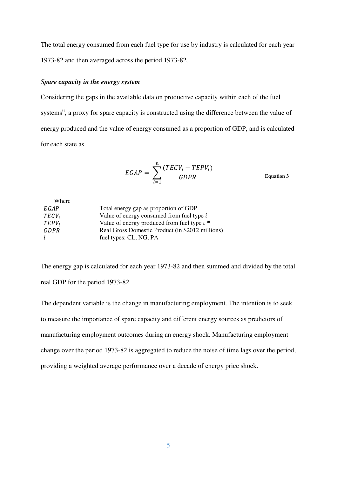The total energy consumed from each fuel type for use by industry is calculated for each year 1973-82 and then averaged across the period 1973-82.

# *Spare capacity in the energy system*

Considering the gaps in the available data on productive capacity within each of the fuel systems<sup>ii</sup>, a proxy for spare capacity is constructed using the difference between the value of energy produced and the value of energy consumed as a proportion of GDP, and is calculated for each state as

$$
EGAP = \sum_{i=1}^{n} \frac{(TECV_i - TEPV_i)}{GDPR}
$$
 Equation 3

| Total energy gap as proportion of GDP            |
|--------------------------------------------------|
| Value of energy consumed from fuel type i        |
| Value of energy produced from fuel type $i$ iii  |
| Real Gross Domestic Product (in \$2012 millions) |
| fuel types: CL, NG, PA                           |
|                                                  |

The energy gap is calculated for each year 1973-82 and then summed and divided by the total real GDP for the period 1973-82.

The dependent variable is the change in manufacturing employment. The intention is to seek to measure the importance of spare capacity and different energy sources as predictors of manufacturing employment outcomes during an energy shock. Manufacturing employment change over the period 1973-82 is aggregated to reduce the noise of time lags over the period, providing a weighted average performance over a decade of energy price shock.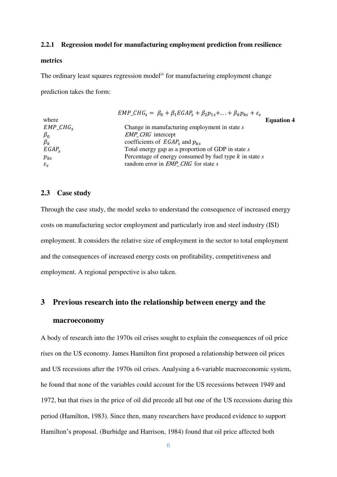#### **2.2.1 Regression model for manufacturing employment prediction from resilience**

#### **metrics**

The ordinary least squares regression model<sup>iv</sup> for manufacturing employment change

prediction takes the form:

| $EMP\_CHGs = \beta_0 + \beta_1 EGAP_s + \beta_2 p_{1s} + \ldots + \beta_k p_{ks} + \varepsilon_s$ |
|---------------------------------------------------------------------------------------------------|
| <b>Equation 4</b>                                                                                 |
| Change in manufacturing employment in state $s$                                                   |
| <i>EMP_CHG</i> intercept                                                                          |
| coefficients of $EGAP_s$ and $p_{ks}$                                                             |
| Total energy gap as a proportion of GDP in state s                                                |
| Percentage of energy consumed by fuel type $k$ in state $s$                                       |
| random error in <i>EMP_CHG</i> for state <i>s</i>                                                 |
|                                                                                                   |

#### **2.3 Case study**

Through the case study, the model seeks to understand the consequence of increased energy costs on manufacturing sector employment and particularly iron and steel industry (ISI) employment. It considers the relative size of employment in the sector to total employment and the consequences of increased energy costs on profitability, competitiveness and employment. A regional perspective is also taken.

# **3 Previous research into the relationship between energy and the**

# **macroeconomy**

A body of research into the 1970s oil crises sought to explain the consequences of oil price rises on the US economy. James Hamilton first proposed a relationship between oil prices and US recessions after the 1970s oil crises. Analysing a 6-variable macroeconomic system, he found that none of the variables could account for the US recessions between 1949 and 1972, but that rises in the price of oil did precede all but one of the US recessions during this period [\(Hamilton, 1983\)](#page-26-2). Since then, many researchers have produced evidence to support Hamilton's proposal. [\(Burbidge and Harrison, 1984\)](#page-25-0) found that oil price affected both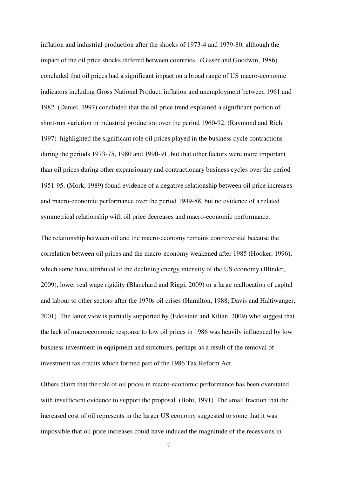inflation and industrial production after the shocks of 1973-4 and 1979-80, although the impact of the oil price shocks differed between countries. [\(Gisser and Goodwin, 1986\)](#page-26-3) concluded that oil prices had a significant impact on a broad range of US macro-economic indicators including Gross National Product, inflation and unemployment between 1961 and 1982. [\(Daniel, 1997\)](#page-25-1) concluded that the oil price trend explained a significant portion of short-run variation in industrial production over the period 1960-92. [\(Raymond and Rich,](#page-27-3)  [1997\)](#page-27-3) highlighted the significant role oil prices played in the business cycle contractions during the periods 1973-75, 1980 and 1990-91, but that other factors were more important than oil prices during other expansionary and contractionary business cycles over the period 1951-95. [\(Mork, 1989\)](#page-27-4) found evidence of a negative relationship between oil price increases and macro-economic performance over the period 1949-88, but no evidence of a related symmetrical relationship with oil price decreases and macro-economic performance.

The relationship between oil and the macro-economy remains controversial because the correlation between oil prices and the macro-economy weakened after 1985 [\(Hooker, 1996\)](#page-26-4), which some have attributed to the declining energy intensity of the US economy [\(Blinder,](#page-24-2)  [2009\)](#page-24-2), lower real wage rigidity [\(Blanchard and Riggi, 2009\)](#page-24-3) or a large reallocation of capital and labour to other sectors after the 1970s oil crises [\(Hamilton, 1988;](#page-26-5) [Davis and Haltiwanger,](#page-25-2)  [2001\)](#page-25-2). The latter view is partially supported by [\(Edelstein and Kilian, 2009\)](#page-26-6) who suggest that the lack of macroeconomic response to low oil prices in 1986 was heavily influenced by low business investment in equipment and structures, perhaps as a result of the removal of investment tax credits which formed part of the 1986 Tax Reform Act.

Others claim that the role of oil prices in macro-economic performance has been overstated with insufficient evidence to support the proposal [\(Bohi, 1991\)](#page-24-4). The small fraction that the increased cost of oil represents in the larger US economy suggested to some that it was impossible that oil price increases could have induced the magnitude of the recessions in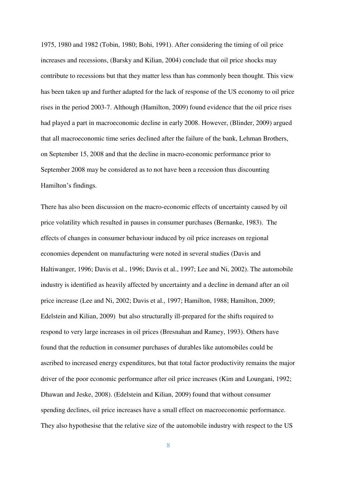1975, 1980 and 1982 [\(Tobin, 1980;](#page-28-5) [Bohi, 1991\)](#page-24-4). After considering the timing of oil price increases and recessions, [\(Barsky and Kilian, 2004\)](#page-24-5) conclude that oil price shocks may contribute to recessions but that they matter less than has commonly been thought. This view has been taken up and further adapted for the lack of response of the US economy to oil price rises in the period 2003-7. Although [\(Hamilton, 2009\)](#page-26-7) found evidence that the oil price rises had played a part in macroeconomic decline in early 2008. However, [\(Blinder, 2009\)](#page-24-2) argued that all macroeconomic time series declined after the failure of the bank, Lehman Brothers, on September 15, 2008 and that the decline in macro-economic performance prior to September 2008 may be considered as to not have been a recession thus discounting Hamilton's findings.

There has also been discussion on the macro-economic effects of uncertainty caused by oil price volatility which resulted in pauses in consumer purchases [\(Bernanke, 1983\)](#page-24-6). The effects of changes in consumer behaviour induced by oil price increases on regional economies dependent on manufacturing were noted in several studies [\(Davis and](#page-25-3)  [Haltiwanger, 1996;](#page-25-3) [Davis et al., 1996;](#page-25-4) [Davis et al., 1997;](#page-25-5) [Lee and Ni, 2002\)](#page-27-5). The automobile industry is identified as heavily affected by uncertainty and a decline in demand after an oil price increase [\(Lee and Ni, 2002;](#page-27-5) [Davis et al., 1997;](#page-25-5) [Hamilton, 1988;](#page-26-5) [Hamilton, 2009;](#page-26-7) [Edelstein and Kilian, 2009\)](#page-26-6) but also structurally ill-prepared for the shifts required to respond to very large increases in oil prices [\(Bresnahan and Ramey, 1993\)](#page-24-7). Others have found that the reduction in consumer purchases of durables like automobiles could be ascribed to increased energy expenditures, but that total factor productivity remains the major driver of the poor economic performance after oil price increases [\(Kim and Loungani, 1992;](#page-27-6) [Dhawan and Jeske, 2008\)](#page-25-6). [\(Edelstein and Kilian, 2009\)](#page-26-6) found that without consumer spending declines, oil price increases have a small effect on macroeconomic performance. They also hypothesise that the relative size of the automobile industry with respect to the US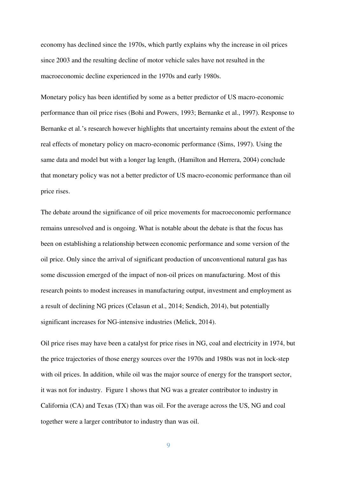economy has declined since the 1970s, which partly explains why the increase in oil prices since 2003 and the resulting decline of motor vehicle sales have not resulted in the macroeconomic decline experienced in the 1970s and early 1980s.

Monetary policy has been identified by some as a better predictor of US macro-economic performance than oil price rises [\(Bohi and Powers, 1993;](#page-24-8) [Bernanke et al., 1997\)](#page-24-9). Response to Bernanke et al.'s research however highlights that uncertainty remains about the extent of the real effects of monetary policy on macro-economic performance [\(Sims, 1997\)](#page-28-6). Using the same data and model but with a longer lag length, [\(Hamilton and Herrera, 2004\)](#page-26-8) conclude that monetary policy was not a better predictor of US macro-economic performance than oil price rises.

The debate around the significance of oil price movements for macroeconomic performance remains unresolved and is ongoing. What is notable about the debate is that the focus has been on establishing a relationship between economic performance and some version of the oil price. Only since the arrival of significant production of unconventional natural gas has some discussion emerged of the impact of non-oil prices on manufacturing. Most of this research points to modest increases in manufacturing output, investment and employment as a result of declining NG prices [\(Celasun et al., 2014;](#page-25-7) [Sendich, 2014\)](#page-28-7), but potentially significant increases for NG-intensive industries [\(Melick, 2014\)](#page-27-7).

Oil price rises may have been a catalyst for price rises in NG, coal and electricity in 1974, but the price trajectories of those energy sources over the 1970s and 1980s was not in lock-step with oil prices. In addition, while oil was the major source of energy for the transport sector, it was not for industry. Figure 1 shows that NG was a greater contributor to industry in California (CA) and Texas (TX) than was oil. For the average across the US, NG and coal together were a larger contributor to industry than was oil.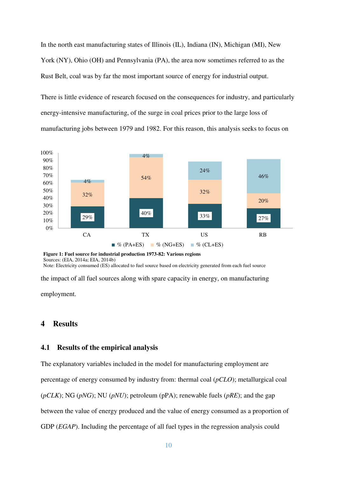In the north east manufacturing states of Illinois (IL), Indiana (IN), Michigan (MI), New York (NY), Ohio (OH) and Pennsylvania (PA), the area now sometimes referred to as the Rust Belt, coal was by far the most important source of energy for industrial output.

There is little evidence of research focused on the consequences for industry, and particularly energy-intensive manufacturing, of the surge in coal prices prior to the large loss of manufacturing jobs between 1979 and 1982. For this reason, this analysis seeks to focus on



**Figure 1: Fuel source for industrial production 1973-82: Various regions**  Sources: [\(EIA, 2014a;](#page-26-9) [EIA, 2014b\)](#page-26-10) Note: Electricity consumed (ES) allocated to fuel source based on electricity generated from each fuel source

the impact of all fuel sources along with spare capacity in energy, on manufacturing

employment.

# **4 Results**

# **4.1 Results of the empirical analysis**

The explanatory variables included in the model for manufacturing employment are percentage of energy consumed by industry from: thermal coal (*pCLO*); metallurgical coal (*pCLK*); NG (*pNG*); NU (*pNU*); petroleum (pPA); renewable fuels (*pRE*); and the gap between the value of energy produced and the value of energy consumed as a proportion of GDP (*EGAP*). Including the percentage of all fuel types in the regression analysis could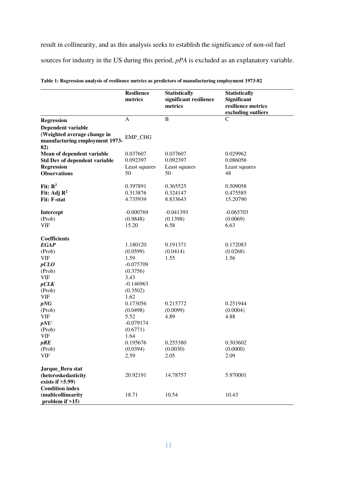result in collinearity, and as this analysis seeks to establish the significance of non-oil fuel sources for industry in the US during this period, *pPA* is excluded as an explanatory variable.

|                                                                                            | <b>Resilience</b><br>metrics | <b>Statistically</b><br>significant resilience<br>metrics | <b>Statistically</b><br><b>Significant</b><br>resilience metrics<br>excluding outliers |
|--------------------------------------------------------------------------------------------|------------------------------|-----------------------------------------------------------|----------------------------------------------------------------------------------------|
| <b>Regression</b>                                                                          | $\mathbf{A}$                 | $\, {\bf B}$                                              | $\mathcal{C}$                                                                          |
| Dependent variable<br>(Weighted average change in<br>manufacturing employment 1973-<br>82) | <b>EMP CHG</b>               |                                                           |                                                                                        |
| Mean of dependent variable                                                                 | 0.037607                     | 0.037607                                                  | 0.029962                                                                               |
| <b>Std Dev of dependent variable</b>                                                       | 0.092397                     | 0.092397                                                  | 0.086056                                                                               |
| <b>Regression</b>                                                                          | Least squares                | Least squares                                             | Least squares                                                                          |
| <b>Observations</b>                                                                        | 50                           | 50                                                        | 48                                                                                     |
| Fit: $\mathbb{R}^2$                                                                        | 0.397891                     | 0.365525                                                  | 0.509058                                                                               |
| Fit: Adj $\mathbb{R}^2$                                                                    | 0.313876                     | 0.324147                                                  | 0.475585                                                                               |
| <b>Fit: F-stat</b>                                                                         | 4.735939                     | 8.833643                                                  | 15.20790                                                                               |
| Intercept                                                                                  | $-0.000769$<br>(0.9848)      | $-0.041393$<br>(0.1398)                                   | $-0.065703$<br>(0.0069)                                                                |
| (Prob)<br>VIF                                                                              | 15.20                        | 6.58                                                      | 6.63                                                                                   |
|                                                                                            |                              |                                                           |                                                                                        |
| <b>Coefficients</b>                                                                        |                              |                                                           |                                                                                        |
| <b>EGAP</b>                                                                                | 1.180120                     | 0.191371                                                  | 0.172083                                                                               |
| (Prob)                                                                                     | (0.0599)                     | (0.0414)                                                  | (0.0268)                                                                               |
| <b>VIF</b>                                                                                 | 1.59                         | 1.55                                                      | 1.56                                                                                   |
| pCLO                                                                                       | $-0.075709$                  |                                                           |                                                                                        |
| (Prob)                                                                                     | (0.3756)                     |                                                           |                                                                                        |
| <b>VIF</b>                                                                                 | 3.43                         |                                                           |                                                                                        |
| pCLK                                                                                       | $-0.146963$                  |                                                           |                                                                                        |
| (Prob)                                                                                     | (0.3502)                     |                                                           |                                                                                        |
| VIF<br>pNG                                                                                 | 1.62<br>0.173056             | 0.215772                                                  | 0.251944                                                                               |
| (Prob)                                                                                     | (0.0498)                     | (0.0099)                                                  | (0.0004)                                                                               |
| <b>VIF</b>                                                                                 | 5.52                         | 4.89                                                      | 4.88                                                                                   |
| pNU                                                                                        | $-0.079174$                  |                                                           |                                                                                        |
| (Prob)                                                                                     | (0.6771)                     |                                                           |                                                                                        |
| <b>VIF</b>                                                                                 | 1.64                         |                                                           |                                                                                        |
| pRE                                                                                        | 0.195676                     | 0.255380                                                  | 0.303602                                                                               |
| (Prob)                                                                                     | (0.0394)                     | (0.0030)                                                  | (0.0000)                                                                               |
| <b>VIF</b>                                                                                 | 2.59                         | 2.05                                                      | 2.09                                                                                   |
| Jarque_Bera stat<br>(heteroskedasticity<br>exists if $>5.99$ )                             | 20.92191                     | 14.78757                                                  | 5.970001                                                                               |
| <b>Condition index</b><br>(multicollinearity<br>problem if $>15$ )                         | 18.71                        | 10.54                                                     | 10.43                                                                                  |

**Table 1: Regression analysis of resilience metrics as predictors of manufacturing employment 1973-82**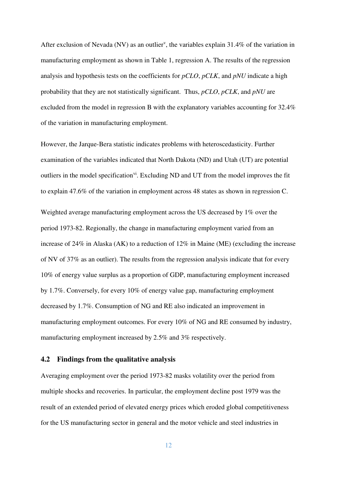After exclusion of Nevada (NV) as an outlier<sup>v</sup>, the variables explain 31.4% of the variation in manufacturing employment as shown in Table 1, regression A. The results of the regression analysis and hypothesis tests on the coefficients for *pCLO*, *pCLK*, and *pNU* indicate a high probability that they are not statistically significant. Thus, *pCLO*, *pCLK*, and *pNU* are excluded from the model in regression B with the explanatory variables accounting for 32.4% of the variation in manufacturing employment.

However, the Jarque-Bera statistic indicates problems with heteroscedasticity. Further examination of the variables indicated that North Dakota (ND) and Utah (UT) are potential outliers in the model specification<sup>vi</sup>. Excluding ND and UT from the model improves the fit to explain 47.6% of the variation in employment across 48 states as shown in regression C.

Weighted average manufacturing employment across the US decreased by 1% over the period 1973-82. Regionally, the change in manufacturing employment varied from an increase of 24% in Alaska (AK) to a reduction of 12% in Maine (ME) (excluding the increase of NV of 37% as an outlier). The results from the regression analysis indicate that for every 10% of energy value surplus as a proportion of GDP, manufacturing employment increased by 1.7%. Conversely, for every 10% of energy value gap, manufacturing employment decreased by 1.7%. Consumption of NG and RE also indicated an improvement in manufacturing employment outcomes. For every 10% of NG and RE consumed by industry, manufacturing employment increased by 2.5% and 3% respectively.

# **4.2 Findings from the qualitative analysis**

Averaging employment over the period 1973-82 masks volatility over the period from multiple shocks and recoveries. In particular, the employment decline post 1979 was the result of an extended period of elevated energy prices which eroded global competitiveness for the US manufacturing sector in general and the motor vehicle and steel industries in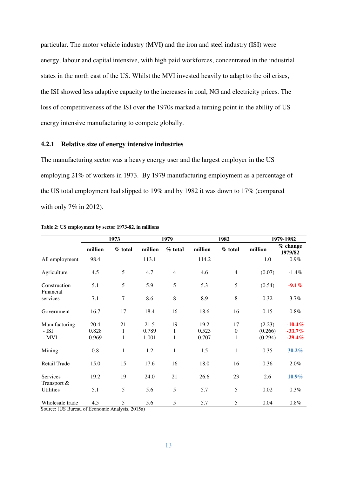particular. The motor vehicle industry (MVI) and the iron and steel industry (ISI) were energy, labour and capital intensive, with high paid workforces, concentrated in the industrial states in the north east of the US. Whilst the MVI invested heavily to adapt to the oil crises, the ISI showed less adaptive capacity to the increases in coal, NG and electricity prices. The loss of competitiveness of the ISI over the 1970s marked a turning point in the ability of US energy intensive manufacturing to compete globally.

### **4.2.1 Relative size of energy intensive industries**

The manufacturing sector was a heavy energy user and the largest employer in the US employing 21% of workers in 1973. By 1979 manufacturing employment as a percentage of the US total employment had slipped to 19% and by 1982 it was down to 17% (compared with only 7% in 2012).

|                                 | 1973          |                  | 1979          |                   | 1982           |                                 | 1979-1982          |                       |
|---------------------------------|---------------|------------------|---------------|-------------------|----------------|---------------------------------|--------------------|-----------------------|
|                                 | million       | $%$ total        | million       | $%$ total         | million        | $%$ total                       | million            | $%$ change<br>1979/82 |
| All employment                  | 98.4          |                  | 113.1         |                   | 114.2          |                                 | 1.0                | $0.9\%$               |
| Agriculture                     | 4.5           | 5                | 4.7           | $\overline{4}$    | 4.6            | $\overline{4}$                  | (0.07)             | $-1.4\%$              |
| Construction<br>Financial       | 5.1           | 5                | 5.9           | 5                 | 5.3            | 5                               | (0.54)             | $-9.1\%$              |
| services                        | 7.1           | $\tau$           | 8.6           | 8                 | 8.9            | 8                               | 0.32               | $3.7\%$               |
| Government                      | 16.7          | 17               | 18.4          | 16                | 18.6           | 16                              | 0.15               | $0.8\%$               |
| Manufacturing                   | 20.4<br>0.828 | 21               | 21.5<br>0.789 | 19                | 19.2           | 17                              | (2.23)             | $-10.4%$              |
| - ISI<br>- MVI                  | 0.969         | 1<br>$\mathbf 1$ | 1.001         | $\mathbf{1}$<br>1 | 0.523<br>0.707 | $\boldsymbol{0}$<br>$\mathbf 1$ | (0.266)<br>(0.294) | $-33.7%$<br>$-29.4%$  |
| Mining                          | 0.8           | $\mathbf 1$      | 1.2           | $\mathbf{1}$      | 1.5            | $\mathbf 1$                     | 0.35               | 30.2%                 |
| Retail Trade                    | 15.0          | 15               | 17.6          | 16                | 18.0           | 16                              | 0.36               | 2.0%                  |
| Services                        | 19.2          | 19               | 24.0          | 21                | 26.6           | 23                              | 2.6                | 10.9%                 |
| Transport &<br><b>Utilities</b> | 5.1           | 5                | 5.6           | 5                 | 5.7            | 5                               | 0.02               | $0.3\%$               |
| Wholesale trade                 | 4.5           | 5                | 5.6           | 5                 | 5.7            | 5                               | 0.04               | $0.8\%$               |

**Table 2: US employment by sector 1973-82, in millions** 

Source: [\(US Bureau of Economic Analysis, 2015a\)](#page-28-8)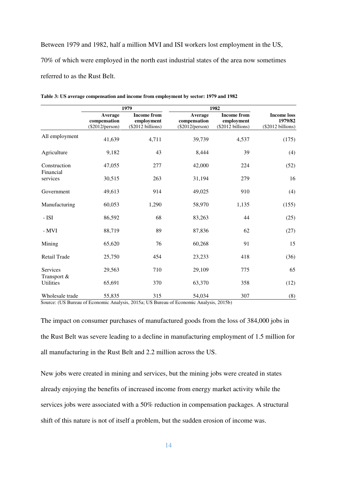Between 1979 and 1982, half a million MVI and ISI workers lost employment in the US, 70% of which were employed in the north east industrial states of the area now sometimes referred to as the Rust Belt.

|                                 |                                              | 1979                                                  | 1982                                         |                                                       |                                                     |
|---------------------------------|----------------------------------------------|-------------------------------------------------------|----------------------------------------------|-------------------------------------------------------|-----------------------------------------------------|
|                                 | Average<br>compensation<br>$(\$2012/person)$ | <b>Income from</b><br>employment<br>(\$2012 billions) | Average<br>compensation<br>$(\$2012/person)$ | <b>Income from</b><br>employment<br>(\$2012 billions) | <b>Income loss</b><br>1979/82<br>$(\$2012 billion)$ |
| All employment                  | 41,639                                       | 4,711                                                 | 39,739                                       | 4,537                                                 | (175)                                               |
| Agriculture                     | 9,182                                        | 43                                                    | 8,444                                        | 39                                                    | (4)                                                 |
| Construction                    | 47,055                                       | 277                                                   | 42,000                                       | 224                                                   | (52)                                                |
| Financial<br>services           | 30,515                                       | 263                                                   | 31,194                                       | 279                                                   | 16                                                  |
| Government                      | 49,613                                       | 914                                                   | 49,025                                       | 910                                                   | (4)                                                 |
| Manufacturing                   | 60,053                                       | 1,290                                                 | 58,970                                       | 1,135                                                 | (155)                                               |
| $-$ ISI                         | 86,592                                       | 68                                                    | 83,263                                       | 44                                                    | (25)                                                |
| - MVI                           | 88,719                                       | 89                                                    | 87,836                                       | 62                                                    | (27)                                                |
| Mining                          | 65,620                                       | 76                                                    | 60,268                                       | 91                                                    | 15                                                  |
| Retail Trade                    | 25,750                                       | 454                                                   | 23,233                                       | 418                                                   | (36)                                                |
| Services                        | 29,563                                       | 710                                                   | 29,109                                       | 775                                                   | 65                                                  |
| Transport &<br><b>Utilities</b> | 65,691                                       | 370                                                   | 63,370                                       | 358                                                   | (12)                                                |
| Wholesale trade                 | 55,835                                       | 315                                                   | 54,034                                       | 307                                                   | (8)                                                 |

**Table 3: US average compensation and income from employment by sector: 1979 and 1982** 

Source: [\(US Bureau of Economic Analysis, 2015a;](#page-28-8) [US Bureau of Economic Analysis, 2015b\)](#page-28-9)

The impact on consumer purchases of manufactured goods from the loss of 384,000 jobs in the Rust Belt was severe leading to a decline in manufacturing employment of 1.5 million for all manufacturing in the Rust Belt and 2.2 million across the US.

New jobs were created in mining and services, but the mining jobs were created in states already enjoying the benefits of increased income from energy market activity while the services jobs were associated with a 50% reduction in compensation packages. A structural shift of this nature is not of itself a problem, but the sudden erosion of income was.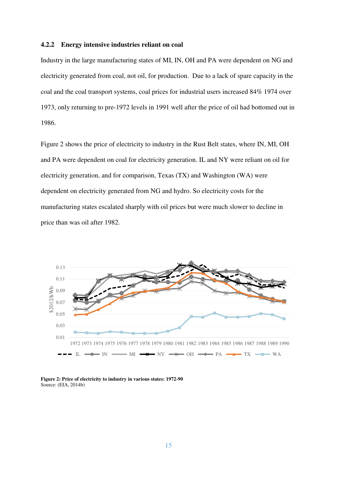#### **4.2.2 Energy intensive industries reliant on coal**

Industry in the large manufacturing states of MI, IN, OH and PA were dependent on NG and electricity generated from coal, not oil, for production. Due to a lack of spare capacity in the coal and the coal transport systems, coal prices for industrial users increased 84% 1974 over 1973, only returning to pre-1972 levels in 1991 well after the price of oil had bottomed out in 1986.

Figure 2 shows the price of electricity to industry in the Rust Belt states, where IN, MI, OH and PA were dependent on coal for electricity generation. IL and NY were reliant on oil for electricity generation, and for comparison, Texas (TX) and Washington (WA) were dependent on electricity generated from NG and hydro. So electricity costs for the manufacturing states escalated sharply with oil prices but were much slower to decline in price than was oil after 1982.



**Figure 2: Price of electricity to industry in various states: 1972-90** Source: [\(EIA, 2014b\)](#page-26-10)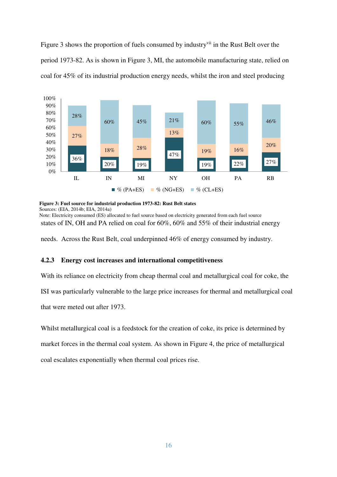Figure 3 shows the proportion of fuels consumed by industry<sup>vii</sup> in the Rust Belt over the period 1973-82. As is shown in Figure 3, MI, the automobile manufacturing state, relied on coal for 45% of its industrial production energy needs, whilst the iron and steel producing



```
Figure 3: Fuel source for industrial production 1973-82: Rust Belt states
```
Sources: [\(EIA, 2014b;](#page-26-10) [EIA, 2014a\)](#page-26-9)

states of IN, OH and PA relied on coal for 60%, 60% and 55% of their industrial energy Note: Electricity consumed (ES) allocated to fuel source based on electricity generated from each fuel source

needs. Across the Rust Belt, coal underpinned 46% of energy consumed by industry.

# **4.2.3 Energy cost increases and international competitiveness**

With its reliance on electricity from cheap thermal coal and metallurgical coal for coke, the

ISI was particularly vulnerable to the large price increases for thermal and metallurgical coal

that were meted out after 1973.

Whilst metallurgical coal is a feedstock for the creation of coke, its price is determined by

market forces in the thermal coal system. As shown in Figure 4, the price of metallurgical

coal escalates exponentially when thermal coal prices rise.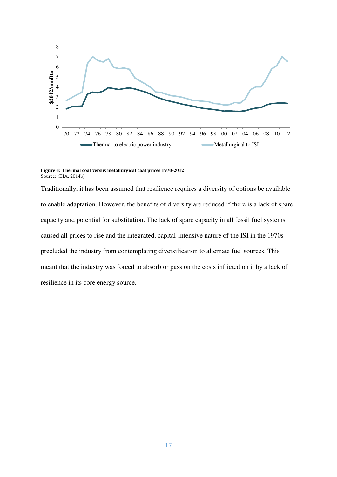

**Figure 4: Thermal coal versus metallurgical coal prices 1970-2012**  Source: [\(EIA, 2014b\)](#page-26-10)

Traditionally, it has been assumed that resilience requires a diversity of options be available to enable adaptation. However, the benefits of diversity are reduced if there is a lack of spare capacity and potential for substitution. The lack of spare capacity in all fossil fuel systems caused all prices to rise and the integrated, capital-intensive nature of the ISI in the 1970s precluded the industry from contemplating diversification to alternate fuel sources. This meant that the industry was forced to absorb or pass on the costs inflicted on it by a lack of resilience in its core energy source.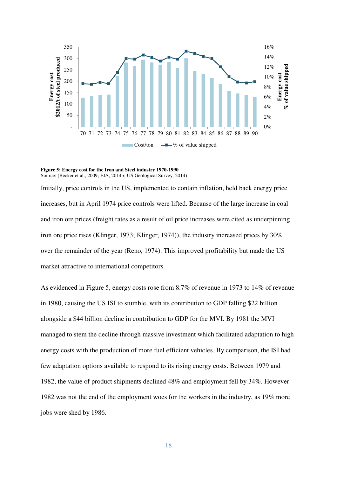

**Figure 5: Energy cost for the Iron and Steel industry 1970-1990**  Source: [\(Becker et al., 2009;](#page-24-10) [EIA, 2014b;](#page-26-10) [US Geological Survey, 2014\)](#page-28-10)

Initially, price controls in the US, implemented to contain inflation, held back energy price increases, but in April 1974 price controls were lifted. Because of the large increase in coal and iron ore prices (freight rates as a result of oil price increases were cited as underpinning iron ore price rises [\(Klinger, 1973;](#page-27-8) [Klinger, 1974\)](#page-27-9)), the industry increased prices by 30% over the remainder of the year [\(Reno, 1974\)](#page-27-10). This improved profitability but made the US market attractive to international competitors.

As evidenced in Figure 5, energy costs rose from 8.7% of revenue in 1973 to 14% of revenue in 1980, causing the US ISI to stumble, with its contribution to GDP falling \$22 billion alongside a \$44 billion decline in contribution to GDP for the MVI. By 1981 the MVI managed to stem the decline through massive investment which facilitated adaptation to high energy costs with the production of more fuel efficient vehicles. By comparison, the ISI had few adaptation options available to respond to its rising energy costs. Between 1979 and 1982, the value of product shipments declined 48% and employment fell by 34%. However 1982 was not the end of the employment woes for the workers in the industry, as 19% more jobs were shed by 1986.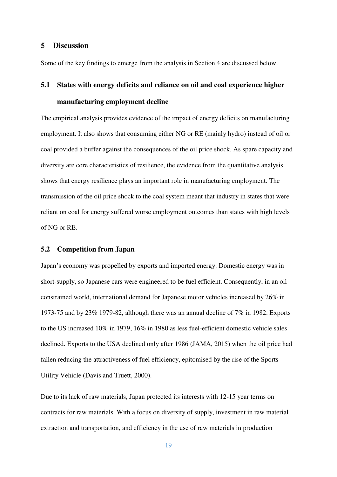# **5 Discussion**

Some of the key findings to emerge from the analysis in Section 4 are discussed below.

# **5.1 States with energy deficits and reliance on oil and coal experience higher manufacturing employment decline**

The empirical analysis provides evidence of the impact of energy deficits on manufacturing employment. It also shows that consuming either NG or RE (mainly hydro) instead of oil or coal provided a buffer against the consequences of the oil price shock. As spare capacity and diversity are core characteristics of resilience, the evidence from the quantitative analysis shows that energy resilience plays an important role in manufacturing employment. The transmission of the oil price shock to the coal system meant that industry in states that were reliant on coal for energy suffered worse employment outcomes than states with high levels of NG or RE.

#### **5.2 Competition from Japan**

Japan's economy was propelled by exports and imported energy. Domestic energy was in short-supply, so Japanese cars were engineered to be fuel efficient. Consequently, in an oil constrained world, international demand for Japanese motor vehicles increased by 26% in 1973-75 and by 23% 1979-82, although there was an annual decline of 7% in 1982. Exports to the US increased 10% in 1979, 16% in 1980 as less fuel-efficient domestic vehicle sales declined. Exports to the USA declined only after 1986 [\(JAMA, 2015\)](#page-27-11) when the oil price had fallen reducing the attractiveness of fuel efficiency, epitomised by the rise of the Sports Utility Vehicle [\(Davis and Truett, 2000\)](#page-25-8).

Due to its lack of raw materials, Japan protected its interests with 12-15 year terms on contracts for raw materials. With a focus on diversity of supply, investment in raw material extraction and transportation, and efficiency in the use of raw materials in production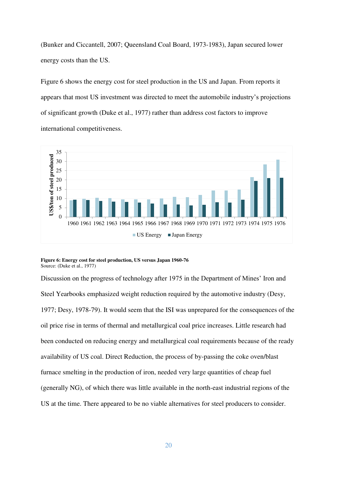[\(Bunker and Ciccantell, 2007;](#page-25-9) [Queensland Coal Board, 1973-1983\)](#page-27-12), Japan secured lower energy costs than the US.

Figure 6 shows the energy cost for steel production in the US and Japan. From reports it appears that most US investment was directed to meet the automobile industry's projections of significant growth [\(Duke et al., 1977\)](#page-26-11) rather than address cost factors to improve international competitiveness.



**Figure 6: Energy cost for steel production, US versus Japan 1960-76** Source: [\(Duke et al., 1977\)](#page-26-11)

Discussion on the progress of technology after 1975 in the Department of Mines' Iron and Steel Yearbooks emphasized weight reduction required by the automotive industry [\(Desy,](#page-25-10)  [1977;](#page-25-10) [Desy, 1978-79\)](#page-25-11). It would seem that the ISI was unprepared for the consequences of the oil price rise in terms of thermal and metallurgical coal price increases. Little research had been conducted on reducing energy and metallurgical coal requirements because of the ready availability of US coal. Direct Reduction, the process of by-passing the coke oven/blast furnace smelting in the production of iron, needed very large quantities of cheap fuel (generally NG), of which there was little available in the north-east industrial regions of the US at the time. There appeared to be no viable alternatives for steel producers to consider.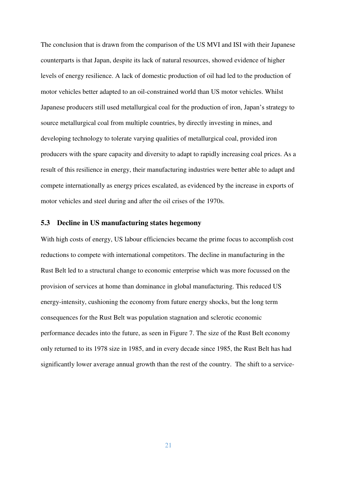The conclusion that is drawn from the comparison of the US MVI and ISI with their Japanese counterparts is that Japan, despite its lack of natural resources, showed evidence of higher levels of energy resilience. A lack of domestic production of oil had led to the production of motor vehicles better adapted to an oil-constrained world than US motor vehicles. Whilst Japanese producers still used metallurgical coal for the production of iron, Japan's strategy to source metallurgical coal from multiple countries, by directly investing in mines, and developing technology to tolerate varying qualities of metallurgical coal, provided iron producers with the spare capacity and diversity to adapt to rapidly increasing coal prices. As a result of this resilience in energy, their manufacturing industries were better able to adapt and compete internationally as energy prices escalated, as evidenced by the increase in exports of motor vehicles and steel during and after the oil crises of the 1970s.

### **5.3 Decline in US manufacturing states hegemony**

With high costs of energy, US labour efficiencies became the prime focus to accomplish cost reductions to compete with international competitors. The decline in manufacturing in the Rust Belt led to a structural change to economic enterprise which was more focussed on the provision of services at home than dominance in global manufacturing. This reduced US energy-intensity, cushioning the economy from future energy shocks, but the long term consequences for the Rust Belt was population stagnation and sclerotic economic performance decades into the future, as seen in Figure 7. The size of the Rust Belt economy only returned to its 1978 size in 1985, and in every decade since 1985, the Rust Belt has had significantly lower average annual growth than the rest of the country. The shift to a service-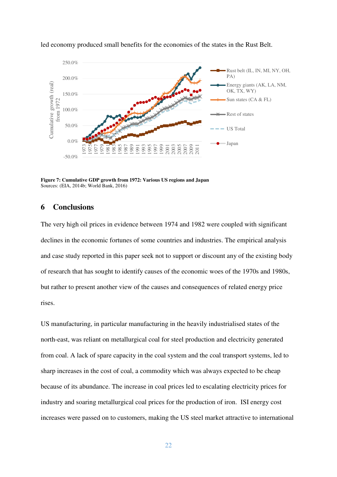

led economy produced small benefits for the economies of the states in the Rust Belt.

**Figure 7: Cumulative GDP growth from 1972: Various US regions and Japan**  Sources: [\(EIA, 2014b;](#page-26-10) [World Bank, 2016\)](#page-28-11)

# **6 Conclusions**

The very high oil prices in evidence between 1974 and 1982 were coupled with significant declines in the economic fortunes of some countries and industries. The empirical analysis and case study reported in this paper seek not to support or discount any of the existing body of research that has sought to identify causes of the economic woes of the 1970s and 1980s, but rather to present another view of the causes and consequences of related energy price rises.

US manufacturing, in particular manufacturing in the heavily industrialised states of the north-east, was reliant on metallurgical coal for steel production and electricity generated from coal. A lack of spare capacity in the coal system and the coal transport systems, led to sharp increases in the cost of coal, a commodity which was always expected to be cheap because of its abundance. The increase in coal prices led to escalating electricity prices for industry and soaring metallurgical coal prices for the production of iron. ISI energy cost increases were passed on to customers, making the US steel market attractive to international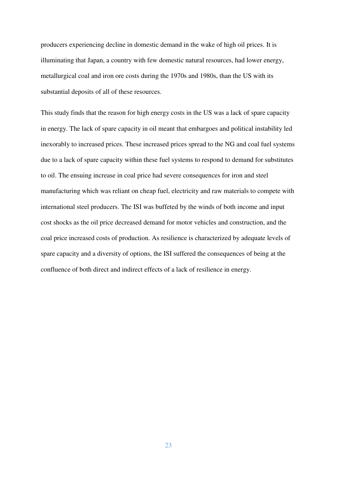producers experiencing decline in domestic demand in the wake of high oil prices. It is illuminating that Japan, a country with few domestic natural resources, had lower energy, metallurgical coal and iron ore costs during the 1970s and 1980s, than the US with its substantial deposits of all of these resources.

This study finds that the reason for high energy costs in the US was a lack of spare capacity in energy. The lack of spare capacity in oil meant that embargoes and political instability led inexorably to increased prices. These increased prices spread to the NG and coal fuel systems due to a lack of spare capacity within these fuel systems to respond to demand for substitutes to oil. The ensuing increase in coal price had severe consequences for iron and steel manufacturing which was reliant on cheap fuel, electricity and raw materials to compete with international steel producers. The ISI was buffeted by the winds of both income and input cost shocks as the oil price decreased demand for motor vehicles and construction, and the coal price increased costs of production. As resilience is characterized by adequate levels of spare capacity and a diversity of options, the ISI suffered the consequences of being at the confluence of both direct and indirect effects of a lack of resilience in energy.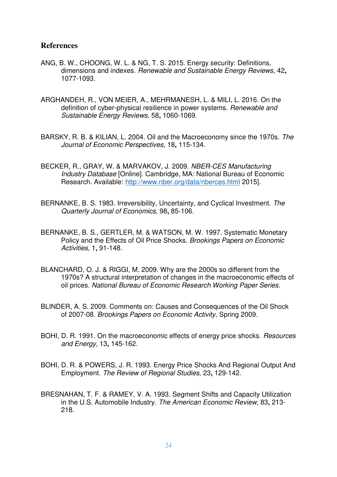# **References**

- <span id="page-24-1"></span>ANG, B. W., CHOONG, W. L. & NG, T. S. 2015. Energy security: Definitions, dimensions and indexes. *Renewable and Sustainable Energy Reviews,* 42**,** 1077-1093.
- <span id="page-24-0"></span>ARGHANDEH, R., VON MEIER, A., MEHRMANESH, L. & MILI, L. 2016. On the definition of cyber-physical resilience in power systems. *Renewable and Sustainable Energy Reviews,* 58**,** 1060-1069.
- <span id="page-24-5"></span>BARSKY, R. B. & KILIAN, L. 2004. Oil and the Macroeconomy since the 1970s. *The Journal of Economic Perspectives,* 18**,** 115-134.
- <span id="page-24-10"></span>BECKER, R., GRAY, W. & MARVAKOV, J. 2009. *NBER-CES Manufacturing Industry Database* [Online]. Cambridge, MA: National Bureau of Economic Research. Available:<http://www.nber.org/data/nberces.html>2015].
- <span id="page-24-6"></span>BERNANKE, B. S. 1983. Irreversibility, Uncertainty, and Cyclical Investment. *The Quarterly Journal of Economics,* 98**,** 85-106.
- <span id="page-24-9"></span>BERNANKE, B. S., GERTLER, M. & WATSON, M. W. 1997. Systematic Monetary Policy and the Effects of Oil Price Shocks. *Brookings Papers on Economic Activities,* 1**,** 91-148.
- <span id="page-24-3"></span>BLANCHARD, O. J. & RIGGI, M. 2009. Why are the 2000s so different from the 1970s? A structural interpretation of changes in the macroeconomic effects of oil prices. *National Bureau of Economic Research Working Paper Series*.
- <span id="page-24-2"></span>BLINDER, A. S. 2009. Comments on: Causes and Consequences of the Oil Shock of 2007-08. *Brookings Papers on Economic Activity,* Spring 2009.
- <span id="page-24-4"></span>BOHI, D. R. 1991. On the macroeconomic effects of energy price shocks. *Resources and Energy,* 13**,** 145-162.
- <span id="page-24-8"></span>BOHI, D. R. & POWERS, J. R. 1993. Energy Price Shocks And Regional Output And Employment. *The Review of Regional Studies,* 23**,** 129-142.
- <span id="page-24-7"></span>BRESNAHAN, T. F. & RAMEY, V. A. 1993. Segment Shifts and Capacity Utilization in the U.S. Automobile Industry. *The American Economic Review,* 83**,** 213- 218.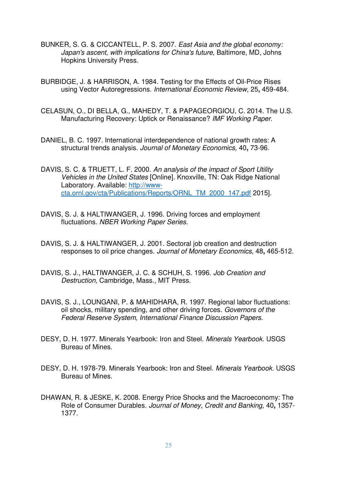- <span id="page-25-9"></span>BUNKER, S. G. & CICCANTELL, P. S. 2007. *East Asia and the global economy: Japan's ascent, with implications for China's future,* Baltimore, MD, Johns Hopkins University Press.
- <span id="page-25-0"></span>BURBIDGE, J. & HARRISON, A. 1984. Testing for the Effects of Oil-Price Rises using Vector Autoregressions. *International Economic Review,* 25**,** 459-484.
- <span id="page-25-7"></span>CELASUN, O., DI BELLA, G., MAHEDY, T. & PAPAGEORGIOU, C. 2014. The U.S. Manufacturing Recovery: Uptick or Renaissance? *IMF Working Paper*.
- <span id="page-25-1"></span>DANIEL, B. C. 1997. International interdependence of national growth rates: A structural trends analysis. *Journal of Monetary Economics,* 40**,** 73-96.
- <span id="page-25-8"></span>DAVIS, S. C. & TRUETT, L. F. 2000. *An analysis of the impact of Sport Utility Vehicles in the United States* [Online]. Knoxville, TN: Oak Ridge National Laboratory. Available: [http://www](http://www-cta.ornl.gov/cta/Publications/Reports/ORNL_TM_2000_147.pdf)[cta.ornl.gov/cta/Publications/Reports/ORNL\\_TM\\_2000\\_147.pdf](http://www-cta.ornl.gov/cta/Publications/Reports/ORNL_TM_2000_147.pdf) 2015].
- <span id="page-25-3"></span>DAVIS, S. J. & HALTIWANGER, J. 1996. Driving forces and employment fluctuations. *NBER Working Paper Series*.
- <span id="page-25-2"></span>DAVIS, S. J. & HALTIWANGER, J. 2001. Sectoral job creation and destruction responses to oil price changes. *Journal of Monetary Economics,* 48**,** 465-512.
- <span id="page-25-4"></span>DAVIS, S. J., HALTIWANGER, J. C. & SCHUH, S. 1996. *Job Creation and Destruction,* Cambridge, Mass., MIT Press.
- <span id="page-25-5"></span>DAVIS, S. J., LOUNGANI, P. & MAHIDHARA, R. 1997. Regional labor fluctuations: oil shocks, military spending, and other driving forces. *Governors of the Federal Reserve System, International Finance Discussion Papers*.
- <span id="page-25-10"></span>DESY, D. H. 1977. Minerals Yearbook: Iron and Steel. *Minerals Yearbook.* USGS Bureau of Mines.
- <span id="page-25-11"></span>DESY, D. H. 1978-79. Minerals Yearbook: Iron and Steel. *Minerals Yearbook.* USGS Bureau of Mines.
- <span id="page-25-6"></span>DHAWAN, R. & JESKE, K. 2008. Energy Price Shocks and the Macroeconomy: The Role of Consumer Durables. *Journal of Money, Credit and Banking,* 40**,** 1357- 1377.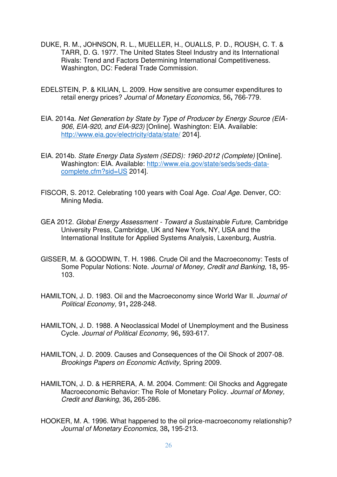- <span id="page-26-11"></span>DUKE, R. M., JOHNSON, R. L., MUELLER, H., OUALLS, P. D., ROUSH, C. T. & TARR, D. G. 1977. The United States Steel Industry and its International Rivals: Trend and Factors Determining International Competitiveness. Washington, DC: Federal Trade Commission.
- <span id="page-26-6"></span>EDELSTEIN, P. & KILIAN, L. 2009. How sensitive are consumer expenditures to retail energy prices? *Journal of Monetary Economics,* 56**,** 766-779.
- <span id="page-26-9"></span>EIA. 2014a. *Net Generation by State by Type of Producer by Energy Source (EIA-906, EIA-920, and EIA-923)* [Online]. Washington: EIA. Available: <http://www.eia.gov/electricity/data/state/>2014].
- <span id="page-26-10"></span>EIA. 2014b. *State Energy Data System (SEDS): 1960-2012 (Complete)* [Online]. Washington: EIA. Available: [http://www.eia.gov/state/seds/seds-data](http://www.eia.gov/state/seds/seds-data-complete.cfm?sid=US)[complete.cfm?sid=US](http://www.eia.gov/state/seds/seds-data-complete.cfm?sid=US) 2014].
- <span id="page-26-0"></span>FISCOR, S. 2012. Celebrating 100 years with Coal Age. *Coal Age.* Denver, CO: Mining Media.
- <span id="page-26-1"></span>GEA 2012. *Global Energy Assessment - Toward a Sustainable Future,* Cambridge University Press, Cambridge, UK and New York, NY, USA and the International Institute for Applied Systems Analysis, Laxenburg, Austria.
- <span id="page-26-3"></span>GISSER, M. & GOODWIN, T. H. 1986. Crude Oil and the Macroeconomy: Tests of Some Popular Notions: Note. *Journal of Money, Credit and Banking,* 18**,** 95- 103.
- <span id="page-26-2"></span>HAMILTON, J. D. 1983. Oil and the Macroeconomy since World War II. *Journal of Political Economy,* 91**,** 228-248.
- <span id="page-26-5"></span>HAMILTON, J. D. 1988. A Neoclassical Model of Unemployment and the Business Cycle. *Journal of Political Economy,* 96**,** 593-617.
- <span id="page-26-7"></span>HAMILTON, J. D. 2009. Causes and Consequences of the Oil Shock of 2007-08. *Brookings Papers on Economic Activity,* Spring 2009.
- <span id="page-26-8"></span>HAMILTON, J. D. & HERRERA, A. M. 2004. Comment: Oil Shocks and Aggregate Macroeconomic Behavior: The Role of Monetary Policy. *Journal of Money, Credit and Banking,* 36**,** 265-286.
- <span id="page-26-4"></span>HOOKER, M. A. 1996. What happened to the oil price-macroeconomy relationship? *Journal of Monetary Economics,* 38**,** 195-213.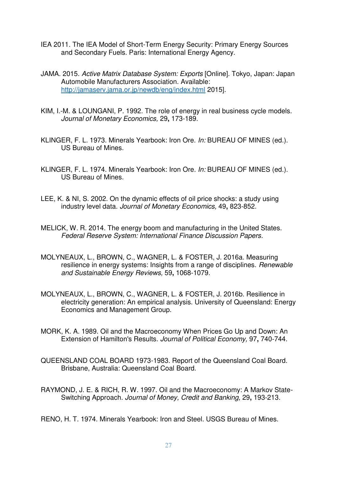- <span id="page-27-0"></span>IEA 2011. The IEA Model of Short-Term Energy Security: Primary Energy Sources and Secondary Fuels. Paris: International Energy Agency.
- <span id="page-27-11"></span>JAMA. 2015. *Active Matrix Database System: Exports* [Online]. Tokyo, Japan: Japan Automobile Manufacturers Association. Available: <http://jamaserv.jama.or.jp/newdb/eng/index.html>2015].
- <span id="page-27-6"></span>KIM, I.-M. & LOUNGANI, P. 1992. The role of energy in real business cycle models. *Journal of Monetary Economics,* 29**,** 173-189.
- <span id="page-27-8"></span>KLINGER, F. L. 1973. Minerals Yearbook: Iron Ore. *In:* BUREAU OF MINES (ed.). US Bureau of Mines.
- <span id="page-27-9"></span>KLINGER, F. L. 1974. Minerals Yearbook: Iron Ore. *In:* BUREAU OF MINES (ed.). US Bureau of Mines.
- <span id="page-27-5"></span>LEE, K. & NI, S. 2002. On the dynamic effects of oil price shocks: a study using industry level data. *Journal of Monetary Economics,* 49**,** 823-852.
- <span id="page-27-7"></span>MELICK, W. R. 2014. The energy boom and manufacturing in the United States. *Federal Reserve System: International Finance Discussion Papers*.
- <span id="page-27-1"></span>MOLYNEAUX, L., BROWN, C., WAGNER, L. & FOSTER, J. 2016a. Measuring resilience in energy systems: Insights from a range of disciplines. *Renewable and Sustainable Energy Reviews,* 59**,** 1068-1079.
- <span id="page-27-2"></span>MOLYNEAUX, L., BROWN, C., WAGNER, L. & FOSTER, J. 2016b. Resilience in electricity generation: An empirical analysis. University of Queensland: Energy Economics and Management Group.
- <span id="page-27-4"></span>MORK, K. A. 1989. Oil and the Macroeconomy When Prices Go Up and Down: An Extension of Hamilton's Results. *Journal of Political Economy,* 97**,** 740-744.
- <span id="page-27-12"></span>QUEENSLAND COAL BOARD 1973-1983. Report of the Queensland Coal Board. Brisbane, Australia: Queensland Coal Board.
- <span id="page-27-3"></span>RAYMOND, J. E. & RICH, R. W. 1997. Oil and the Macroeconomy: A Markov State-Switching Approach. *Journal of Money, Credit and Banking,* 29**,** 193-213.

<span id="page-27-10"></span>RENO, H. T. 1974. Minerals Yearbook: Iron and Steel. USGS Bureau of Mines.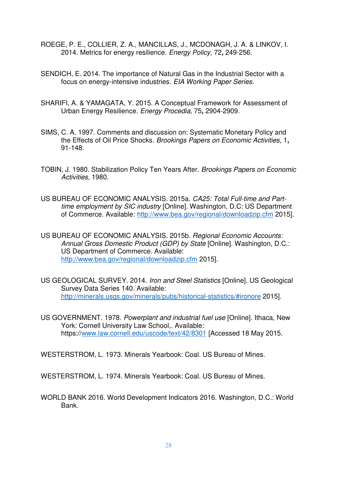- <span id="page-28-3"></span>ROEGE, P. E., COLLIER, Z. A., MANCILLAS, J., MCDONAGH, J. A. & LINKOV, I. 2014. Metrics for energy resilience. *Energy Policy,* 72**,** 249-256.
- <span id="page-28-7"></span>SENDICH, E. 2014. The importance of Natural Gas in the Industrial Sector with a focus on energy-intensive industries. *EIA Working Paper Series*.
- <span id="page-28-4"></span>SHARIFI, A. & YAMAGATA, Y. 2015. A Conceptual Framework for Assessment of Urban Energy Resilience. *Energy Procedia,* 75**,** 2904-2909.
- <span id="page-28-6"></span>SIMS, C. A. 1997. Comments and discussion on: Systematic Monetary Policy and the Effects of Oil Price Shocks. *Brookings Papers on Economic Activities,* 1**,** 91-148.
- <span id="page-28-5"></span>TOBIN, J. 1980. Stabilization Policy Ten Years After. *Brookings Papers on Economic Activities,* 1980.
- <span id="page-28-8"></span>US BUREAU OF ECONOMIC ANALYSIS. 2015a. *CA25: Total Full-time and Parttime employment by SIC industry* [Online]. Washington, D.C: US Department of Commerce. Available:<http://www.bea.gov/regional/downloadzip.cfm>2015].
- <span id="page-28-9"></span>US BUREAU OF ECONOMIC ANALYSIS. 2015b. *Regional Economic Accounts: Annual Gross Domestic Product (GDP) by State* [Online]. Washington, D.C.: US Department of Commerce. Available: <http://www.bea.gov/regional/downloadzip.cfm>2015].
- <span id="page-28-10"></span>US GEOLOGICAL SURVEY. 2014. *Iron and Steel Statistics* [Online]. US Geological Survey Data Series 140. Available: <http://minerals.usgs.gov/minerals/pubs/historical-statistics/#ironore>2015].
- <span id="page-28-2"></span>US GOVERNMENT. 1978. *Powerplant and industrial fuel use* [Online]. Ithaca, New York: Cornell University Law School,. Available: https:/[/www.law.cornell.edu/uscode/text/42/8301](http://www.law.cornell.edu/uscode/text/42/8301) [Accessed 18 May 2015.

<span id="page-28-0"></span>WESTERSTROM, L. 1973. Minerals Yearbook: Coal. US Bureau of Mines.

<span id="page-28-1"></span>WESTERSTROM, L. 1974. Minerals Yearbook: Coal. US Bureau of Mines.

<span id="page-28-11"></span>WORLD BANK 2016. World Development Indicators 2016. Washington, D.C.: World Bank.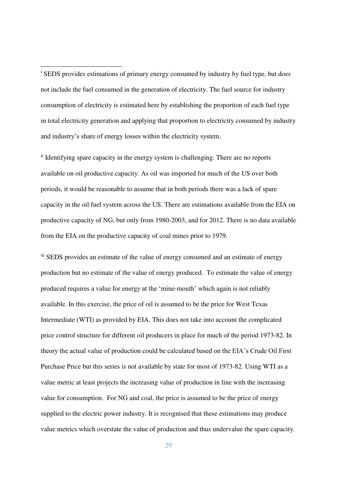<sup>i</sup> SEDS provides estimations of primary energy consumed by industry by fuel type, but does not include the fuel consumed in the generation of electricity. The fuel source for industry consumption of electricity is estimated here by establishing the proportion of each fuel type in total electricity generation and applying that proportion to electricity consumed by industry and industry's share of energy losses within the electricity system.

<u>.</u>

ii Identifying spare capacity in the energy system is challenging. There are no reports available on oil productive capacity. As oil was imported for much of the US over both periods, it would be reasonable to assume that in both periods there was a lack of spare capacity in the oil fuel system across the US. There are estimations available from the EIA on productive capacity of NG, but only from 1980-2003, and for 2012. There is no data available from the EIA on the productive capacity of coal mines prior to 1979.

iii SEDS provides an estimate of the value of energy consumed and an estimate of energy production but no estimate of the value of energy produced. To estimate the value of energy produced requires a value for energy at the 'mine-mouth' which again is not reliably available. In this exercise, the price of oil is assumed to be the price for West Texas Intermediate (WTI) as provided by EIA. This does not take into account the complicated price control structure for different oil producers in place for much of the period 1973-82. In theory the actual value of production could be calculated based on the EIA's Crude Oil First Purchase Price but this series is not available by state for most of 1973-82. Using WTI as a value metric at least projects the increasing value of production in line with the increasing value for consumption. For NG and coal, the price is assumed to be the price of energy supplied to the electric power industry. It is recognised that these estimations may produce value metrics which overstate the value of production and thus undervalue the spare capacity.